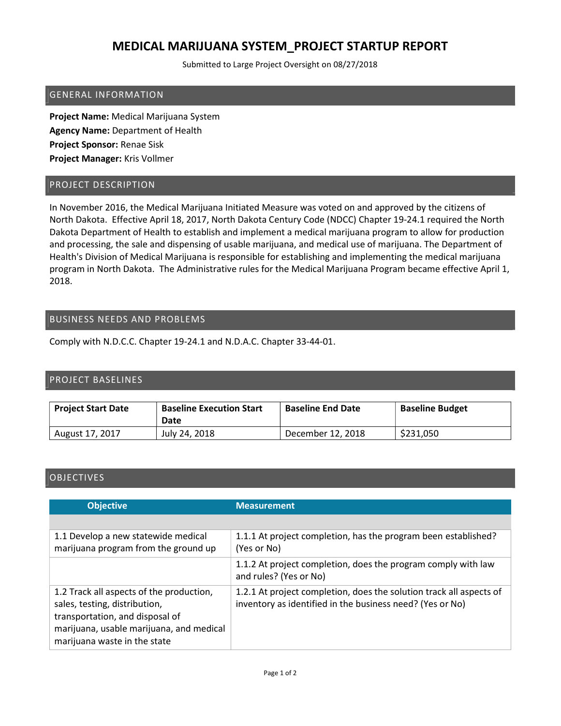# MEDICAL MARIJUANA SYSTEM\_PROJECT STARTUP REPORT

Submitted to Large Project Oversight on 08/27/2018

#### GENERAL INFORMATION

Project Name: Medical Marijuana System Agency Name: Department of Health Project Sponsor: Renae Sisk Project Manager: Kris Vollmer

#### PROJECT DESCRIPTION

In November 2016, the Medical Marijuana Initiated Measure was voted on and approved by the citizens of North Dakota. Effective April 18, 2017, North Dakota Century Code (NDCC) Chapter 19-24.1 required the North Dakota Department of Health to establish and implement a medical marijuana program to allow for production and processing, the sale and dispensing of usable marijuana, and medical use of marijuana. The Department of Health's Division of Medical Marijuana is responsible for establishing and implementing the medical marijuana program in North Dakota. The Administrative rules for the Medical Marijuana Program became effective April 1, 2018.

### BUSINESS NEEDS AND PROBLEMS

Comply with N.D.C.C. Chapter 19-24.1 and N.D.A.C. Chapter 33-44-01.

### PROJECT BASELINES

| <b>Project Start Date</b> | <b>Baseline Execution Start</b><br>Date | <b>Baseline End Date</b> | <b>Baseline Budget</b> |
|---------------------------|-----------------------------------------|--------------------------|------------------------|
| August 17, 2017           | July 24, 2018                           | December 12, 2018        | \$231,050              |

## **OBJECTIVES**

| <b>Objective</b>                                                                                                                                                                         | <b>Measurement</b>                                                                                                               |
|------------------------------------------------------------------------------------------------------------------------------------------------------------------------------------------|----------------------------------------------------------------------------------------------------------------------------------|
|                                                                                                                                                                                          |                                                                                                                                  |
| 1.1 Develop a new statewide medical<br>marijuana program from the ground up                                                                                                              | 1.1.1 At project completion, has the program been established?<br>(Yes or No)                                                    |
|                                                                                                                                                                                          | 1.1.2 At project completion, does the program comply with law<br>and rules? (Yes or No)                                          |
| 1.2 Track all aspects of the production,<br>sales, testing, distribution,<br>transportation, and disposal of<br>marijuana, usable marijuana, and medical<br>marijuana waste in the state | 1.2.1 At project completion, does the solution track all aspects of<br>inventory as identified in the business need? (Yes or No) |